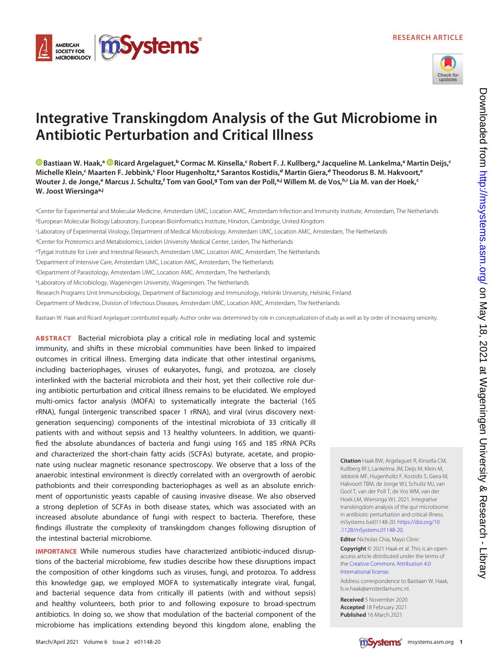



# Integrative Transkingdom Analysis of the Gut Microbiome in Antibiotic Perturbation and Critical Illness

[Bastiaan W. Haak,](https://orcid.org/0000-0002-3903-5441)ª © [Ricard Argelaguet](https://orcid.org/0000-0003-3199-3722),<sup>ь</sup> Cormac M. Kinsella,< Robert F. J. Kullberg,ª Jacqueline M. Lankelma,ª Martin Deijs,<sup>c</sup> Michelle Klein,<sup>c</sup> Maarten F. Jebbink,<sup>c</sup> Floor Hugenholtz,ª Sarantos Kostidis,<sup>d</sup> Martin Giera,<sup>d</sup> Theodorus B. M. Hakvoort,<sup>e</sup> Wouter J. de Jonge,<sup>e</sup> Marcus J. Schultz,f Tom van Gool,<sup>g</sup> Tom van der Poll,ªJ Willem M. de Vos,ʰʲ Lia M. van der Hoek,<sup>c</sup> W. Joost Wiersinga<sup>a,j</sup>

a Center for Experimental and Molecular Medicine, Amsterdam UMC, Location AMC, Amsterdam Infection and Immunity Institute, Amsterdam, The Netherlands bEuropean Molecular Biology Laboratory, European Bioinformatics Institute, Hinxton, Cambridge, United Kingdom

cLaboratory of Experimental Virology, Department of Medical Microbiology, Amsterdam UMC, Location AMC, Amsterdam, The Netherlands

dCenter for Proteomics and Metabolomics, Leiden University Medical Center, Leiden, The Netherlands

eTytgat Institute for Liver and Intestinal Research, Amsterdam UMC, Location AMC, Amsterdam, The Netherlands

f Department of Intensive Care, Amsterdam UMC, Location AMC, Amsterdam, The Netherlands

gDepartment of Parasitology, Amsterdam UMC, Location AMC, Amsterdam, The Netherlands

hLaboratory of Microbiology, Wageningen University, Wageningen, The Netherlands

i Research Programs Unit Immunobiology, Department of Bacteriology and Immunology, Helsinki University, Helsinki, Finland

j Department of Medicine, Division of Infectious Diseases, Amsterdam UMC, Location AMC, Amsterdam, The Netherlands

Bastiaan W. Haak and Ricard Argelaguet contributed equally. Author order was determined by role in conceptualization of study as well as by order of increasing seniority.

ABSTRACT Bacterial microbiota play a critical role in mediating local and systemic immunity, and shifts in these microbial communities have been linked to impaired outcomes in critical illness. Emerging data indicate that other intestinal organisms, including bacteriophages, viruses of eukaryotes, fungi, and protozoa, are closely interlinked with the bacterial microbiota and their host, yet their collective role during antibiotic perturbation and critical illness remains to be elucidated. We employed multi-omics factor analysis (MOFA) to systematically integrate the bacterial (16S rRNA), fungal (intergenic transcribed spacer 1 rRNA), and viral (virus discovery nextgeneration sequencing) components of the intestinal microbiota of 33 critically ill patients with and without sepsis and 13 healthy volunteers. In addition, we quantified the absolute abundances of bacteria and fungi using 16S and 18S rRNA PCRs and characterized the short-chain fatty acids (SCFAs) butyrate, acetate, and propionate using nuclear magnetic resonance spectroscopy. We observe that a loss of the anaerobic intestinal environment is directly correlated with an overgrowth of aerobic pathobionts and their corresponding bacteriophages as well as an absolute enrichment of opportunistic yeasts capable of causing invasive disease. We also observed a strong depletion of SCFAs in both disease states, which was associated with an increased absolute abundance of fungi with respect to bacteria. Therefore, these findings illustrate the complexity of transkingdom changes following disruption of the intestinal bacterial microbiome.

IMPORTANCE While numerous studies have characterized antibiotic-induced disruptions of the bacterial microbiome, few studies describe how these disruptions impact the composition of other kingdoms such as viruses, fungi, and protozoa. To address this knowledge gap, we employed MOFA to systematically integrate viral, fungal, and bacterial sequence data from critically ill patients (with and without sepsis) and healthy volunteers, both prior to and following exposure to broad-spectrum antibiotics. In doing so, we show that modulation of the bacterial component of the microbiome has implications extending beyond this kingdom alone, enabling the Kullberg RFJ, Lankelma JM, Deijs M, Klein M, Jebbink MF, Hugenholtz F, Kostidis S, Giera M, Hakvoort TBM, de Jonge WJ, Schultz MJ, van Gool T, van der Poll T, de Vos WM, van der Hoek LM, Wiersinga WJ. 2021. Integrative transkingdom analysis of the gut microbiome in antibiotic perturbation and critical illness. mSystems 6:e01148-20. [https://doi.org/10](https://doi.org/10.1128/mSystems.01148-20) [.1128/mSystems.01148-20](https://doi.org/10.1128/mSystems.01148-20). Editor Nicholas Chia, Mayo Clinic

Citation Haak BW, Argelaguet R, Kinsella CM,

Copyright © 2021 Haak et al. This is an openaccess article distributed under the terms of the [Creative Commons Attribution 4.0](https://creativecommons.org/licenses/by/4.0/) [International license](https://creativecommons.org/licenses/by/4.0/).

Address correspondence to Bastiaan W. Haak, b.w.haak@amsterdamumc.nl.

Received 5 November 2020 Accepted 18 February 2021 Published 16 March 2021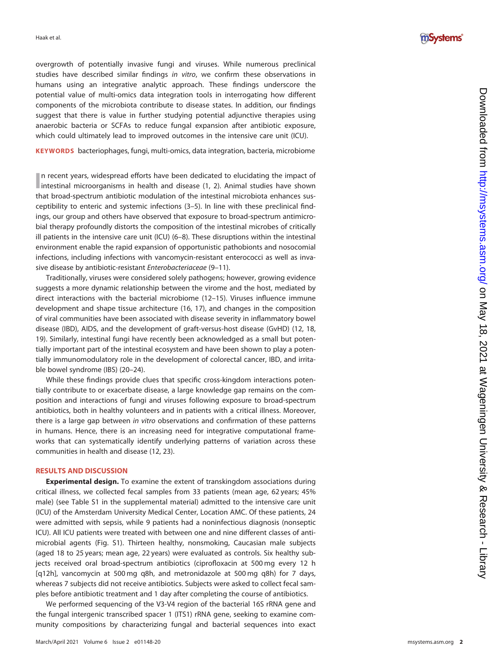

overgrowth of potentially invasive fungi and viruses. While numerous preclinical studies have described similar findings in vitro, we confirm these observations in humans using an integrative analytic approach. These findings underscore the potential value of multi-omics data integration tools in interrogating how different components of the microbiota contribute to disease states. In addition, our findings suggest that there is value in further studying potential adjunctive therapies using anaerobic bacteria or SCFAs to reduce fungal expansion after antibiotic exposure, which could ultimately lead to improved outcomes in the intensive care unit (ICU).

KEYWORDS bacteriophages, fungi, multi-omics, data integration, bacteria, microbiome

In recent years, widespread efforts have been dedicated to elucidating the impact of intestinal microorganisms in health and disease (1, 2). Animal studies have shown intestinal microorganisms in health and disease ([1](#page-11-0), [2\)](#page-11-1). Animal studies have shown that broad-spectrum antibiotic modulation of the intestinal microbiota enhances susceptibility to enteric and systemic infections [\(3](#page-11-2)[–](#page-11-3)[5\)](#page-11-4). In line with these preclinical findings, our group and others have observed that exposure to broad-spectrum antimicrobial therapy profoundly distorts the composition of the intestinal microbes of critically ill patients in the intensive care unit (ICU) ([6](#page-11-5) [–](#page-11-6)[8](#page-11-7)). These disruptions within the intestinal environment enable the rapid expansion of opportunistic pathobionts and nosocomial infections, including infections with vancomycin-resistant enterococci as well as invasive disease by antibiotic-resistant Enterobacteriaceae ([9](#page-11-8)[–](#page-11-9)[11](#page-11-10)).

Traditionally, viruses were considered solely pathogens; however, growing evidence suggests a more dynamic relationship between the virome and the host, mediated by direct interactions with the bacterial microbiome ([12](#page-11-11) –[15\)](#page-11-12). Viruses in fluence immune development and shape tissue architecture ([16,](#page-11-13) [17](#page-11-14)), and changes in the composition of viral communities have been associated with disease severity in in flammatory bowel disease (IBD), AIDS, and the development of graft-versus-host disease (GvHD) ([12](#page-11-11), [18](#page-11-15), [19](#page-11-16)). Similarly, intestinal fungi have recently been acknowledged as a small but potentially important part of the intestinal ecosystem and have been shown to play a potentially immunomodulatory role in the development of colorectal cancer, IBD, and irritable bowel syndrome (IBS) ([20](#page-12-0)–[24\)](#page-12-1).

While these findings provide clues that specific cross-kingdom interactions potentially contribute to or exacerbate disease, a large knowledge gap remains on the composition and interactions of fungi and viruses following exposure to broad-spectrum antibiotics, both in healthy volunteers and in patients with a critical illness. Moreover, there is a large gap between in vitro observations and confirmation of these patterns in humans. Hence, there is an increasing need for integrative computational frameworks that can systematically identify underlying patterns of variation across these communities in health and disease [\(12](#page-11-11), [23\)](#page-12-2).

# RESULTS AND DISCUSSION

Experimental design. To examine the extent of transkingdom associations during critical illness, we collected fecal samples from 33 patients (mean age, 62 years; 45% male) (see Table S1 in the supplemental material) admitted to the intensive care unit (ICU) of the Amsterdam University Medical Center, Location AMC. Of these patients, 24 were admitted with sepsis, while 9 patients had a noninfectious diagnosis (nonseptic ICU). All ICU patients were treated with between one and nine different classes of antimicrobial agents (Fig. S1). Thirteen healthy, nonsmoking, Caucasian male subjects (aged 18 to 25 years; mean age, 22 years) were evaluated as controls. Six healthy subjects received oral broad-spectrum antibiotics (ciprofloxacin at 500 mg every 12 h [q12h], vancomycin at 500 mg q8h, and metronidazole at 500 mg q8h) for 7 days, whereas 7 subjects did not receive antibiotics. Subjects were asked to collect fecal samples before antibiotic treatment and 1 day after completing the course of antibiotics.

We performed sequencing of the V3-V4 region of the bacterial 16S rRNA gene and the fungal intergenic transcribed spacer 1 (ITS1) rRNA gene, seeking to examine community compositions by characterizing fungal and bacterial sequences into exact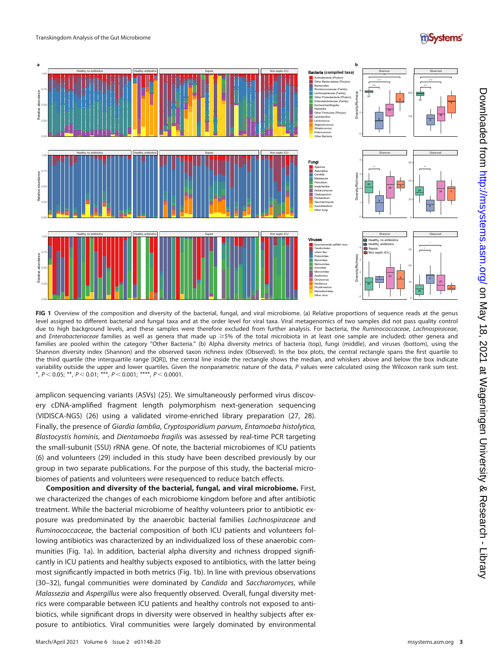#### Transkingdom Analysis of the Gut Microbiome





<span id="page-2-0"></span>FIG 1 Overview of the composition and diversity of the bacterial, fungal, and viral microbiome. (a) Relative proportions of sequence reads at the genus level assigned to different bacterial and fungal taxa and at the order level for viral taxa. Viral metagenomics of two samples did not pass quality control due to high background levels, and these samples were therefore excluded from further analysis. For bacteria, the Ruminococcaceae, Lachnospiraceae, and Enterobacteriaceae families as well as genera that made up  $\geq$ 5% of the total microbiota in at least one sample are included; other genera and families are pooled within the category "Other Bacteria." (b) Alpha diversity metrics of bacteria (top), fungi (middle), and viruses (bottom), using the Shannon diversity index (Shannon) and the observed taxon richness index (Observed). In the box plots, the central rectangle spans the first quartile to the third quartile (the interquartile range [IQR]), the central line inside the rectangle shows the median, and whiskers above and below the box indicate variability outside the upper and lower quartiles. Given the nonparametric nature of the data, P values were calculated using the Wilcoxon rank sum test. \*,  $P < 0.05$ ; \*\*,  $P < 0.01$ ; \*\*\*,  $P < 0.001$ ; \*\*\*\*,  $P < 0.0001$ .

amplicon sequencing variants (ASVs) ([25\)](#page-12-3). We simultaneously performed virus discovery cDNA-amplified fragment length polymorphism next-generation sequencing (VIDISCA-NGS) ([26](#page-12-4)) using a validated virome-enriched library preparation ([27,](#page-12-5) [28\)](#page-12-6). Finally, the presence of Giardia lamblia, Cryptosporidium parvum, Entamoeba histolytica, Blastocystis hominis, and Dientamoeba fragilis was assessed by real-time PCR targeting the small-subunit (SSU) rRNA gene. Of note, the bacterial microbiomes of ICU patients ([6](#page-11-5)) and volunteers ([29](#page-12-7)) included in this study have been described previously by our group in two separate publications. For the purpose of this study, the bacterial microbiomes of patients and volunteers were resequenced to reduce batch effects.

Composition and diversity of the bacterial, fungal, and viral microbiome. First, we characterized the changes of each microbiome kingdom before and after antibiotic treatment. While the bacterial microbiome of healthy volunteers prior to antibiotic exposure was predominated by the anaerobic bacterial families Lachnospiraceae and Ruminococcaceae, the bacterial composition of both ICU patients and volunteers following antibiotics was characterized by an individualized loss of these anaerobic communities ([Fig. 1a\)](#page-2-0). In addition, bacterial alpha diversity and richness dropped significantly in ICU patients and healthy subjects exposed to antibiotics, with the latter being most significantly impacted in both metrics [\(Fig. 1b\)](#page-2-0). In line with previous observations ([30](#page-12-8)-[32\)](#page-12-10), fungal communities were dominated by Candida and Saccharomyces, while Malassezia and Aspergillus were also frequently observed. Overall, fungal diversity metrics were comparable between ICU patients and healthy controls not exposed to antibiotics, while significant drops in diversity were observed in healthy subjects after exposure to antibiotics. Viral communities were largely dominated by environmental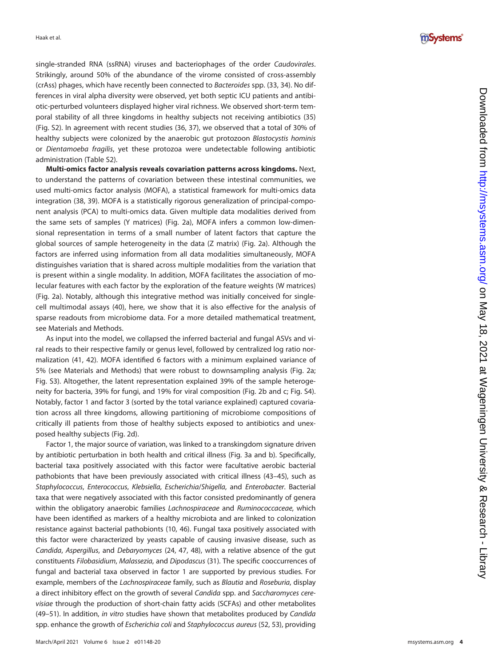

single-stranded RNA (ssRNA) viruses and bacteriophages of the order Caudovirales. Strikingly, around 50% of the abundance of the virome consisted of cross-assembly (crAss) phages, which have recently been connected to Bacteroides spp. [\(33,](#page-12-11) [34\)](#page-12-12). No differences in viral alpha diversity were observed, yet both septic ICU patients and antibiotic-perturbed volunteers displayed higher viral richness. We observed short-term temporal stability of all three kingdoms in healthy subjects not receiving antibiotics [\(35](#page-12-13)) (Fig. S2). In agreement with recent studies [\(36](#page-12-14), [37](#page-12-15)), we observed that a total of 30% of healthy subjects were colonized by the anaerobic gut protozoon Blastocystis hominis or Dientamoeba fragilis, yet these protozoa were undetectable following antibiotic administration (Table S2).

Multi-omics factor analysis reveals covariation patterns across kingdoms. Next, to understand the patterns of covariation between these intestinal communities, we used multi-omics factor analysis (MOFA), a statistical framework for multi-omics data integration [\(38](#page-12-16), [39](#page-12-17)). MOFA is a statistically rigorous generalization of principal-component analysis (PCA) to multi-omics data. Given multiple data modalities derived from the same sets of samples (Y matrices) ([Fig. 2a\)](#page-4-0), MOFA infers a common low-dimensional representation in terms of a small number of latent factors that capture the global sources of sample heterogeneity in the data (Z matrix) ([Fig. 2a](#page-4-0)). Although the factors are inferred using information from all data modalities simultaneously, MOFA distinguishes variation that is shared across multiple modalities from the variation that is present within a single modality. In addition, MOFA facilitates the association of molecular features with each factor by the exploration of the feature weights (W matrices) ([Fig. 2a\)](#page-4-0). Notably, although this integrative method was initially conceived for singlecell multimodal assays ([40\)](#page-12-18), here, we show that it is also effective for the analysis of sparse readouts from microbiome data. For a more detailed mathematical treatment, see Materials and Methods.

As input into the model, we collapsed the inferred bacterial and fungal ASVs and viral reads to their respective family or genus level, followed by centralized log ratio normalization [\(41](#page-12-19), [42\)](#page-12-20). MOFA identified 6 factors with a minimum explained variance of 5% (see Materials and Methods) that were robust to downsampling analysis ([Fig. 2a](#page-4-0); Fig. S3). Altogether, the latent representation explained 39% of the sample heterogeneity for bacteria, 39% for fungi, and 19% for viral composition ([Fig. 2b](#page-4-0) and [c](#page-4-0); Fig. S4). Notably, factor 1 and factor 3 (sorted by the total variance explained) captured covariation across all three kingdoms, allowing partitioning of microbiome compositions of critically ill patients from those of healthy subjects exposed to antibiotics and unexposed healthy subjects ([Fig. 2d\)](#page-4-0).

Factor 1, the major source of variation, was linked to a transkingdom signature driven by antibiotic perturbation in both health and critical illness [\(Fig. 3a](#page-5-0) and [b](#page-5-0)). Specifically, bacterial taxa positively associated with this factor were facultative aerobic bacterial pathobionts that have been previously associated with critical illness [\(43](#page-12-21) [–](#page-12-22)[45\)](#page-12-23), such as Staphylococcus, Enterococcus, Klebsiella, Escherichia/Shigella, and Enterobacter. Bacterial taxa that were negatively associated with this factor consisted predominantly of genera within the obligatory anaerobic families Lachnospiraceae and Ruminococcaceae, which have been identi fied as markers of a healthy microbiota and are linked to colonization resistance against bacterial pathobionts [\(10](#page-11-9), [46](#page-12-24)). Fungal taxa positively associated with this factor were characterized by yeasts capable of causing invasive disease, such as Candida, Aspergillus, and Debaryomyces [\(24](#page-12-1), [47](#page-12-25), [48](#page-12-26)), with a relative absence of the gut constituents Filobasidium, Malassezia, and Dipodascus ([31](#page-12-9)). The specific cooccurrences of fungal and bacterial taxa observed in factor 1 are supported by previous studies. For example, members of the Lachnospiraceae family, such as Blautia and Roseburia, display a direct inhibitory effect on the growth of several Candida spp. and Saccharomyces cerevisiae through the production of short-chain fatty acids (SCFAs) and other metabolites ([49](#page-12-27)-[51](#page-12-29)). In addition, in vitro studies have shown that metabolites produced by Candida spp. enhance the growth of Escherichia coli and Staphylococcus aureus [\(52](#page-12-30), [53](#page-12-31)), providing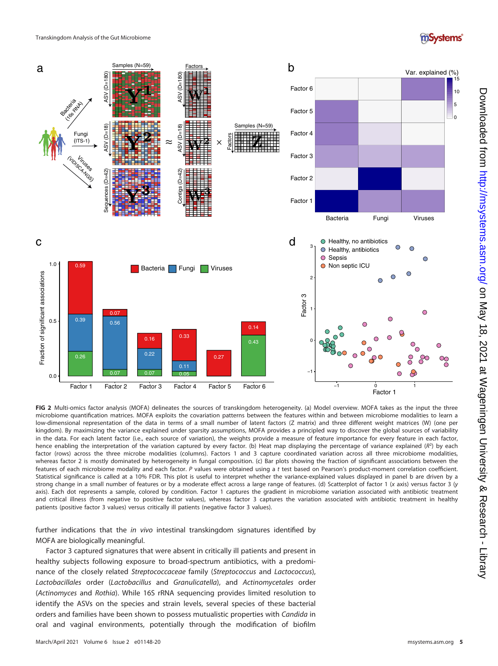



<span id="page-4-0"></span>FIG 2 Multi-omics factor analysis (MOFA) delineates the sources of transkingdom heterogeneity. (a) Model overview. MOFA takes as the input the three microbiome quantification matrices. MOFA exploits the covariation patterns between the features within and between microbiome modalities to learn a low-dimensional representation of the data in terms of a small number of latent factors (Z matrix) and three different weight matrices (W) (one per kingdom). By maximizing the variance explained under sparsity assumptions, MOFA provides a principled way to discover the global sources of variability in the data. For each latent factor (i.e., each source of variation), the weights provide a measure of feature importance for every feature in each factor, hence enabling the interpretation of the variation captured by every factor. (b) Heat map displaying the percentage of variance explained (R<sup>2</sup>) by each factor (rows) across the three microbe modalities (columns). Factors 1 and 3 capture coordinated variation across all three microbiome modalities, whereas factor 2 is mostly dominated by heterogeneity in fungal composition. (c) Bar plots showing the fraction of significant associations between the features of each microbiome modality and each factor. P values were obtained using a t test based on Pearson's product-moment correlation coefficient. Statistical significance is called at a 10% FDR. This plot is useful to interpret whether the variance-explained values displayed in panel b are driven by a strong change in a small number of features or by a moderate effect across a large range of features. (d) Scatterplot of factor 1 (x axis) versus factor 3 (y axis). Each dot represents a sample, colored by condition. Factor 1 captures the gradient in microbiome variation associated with antibiotic treatment and critical illness (from negative to positive factor values), whereas factor 3 captures the variation associated with antibiotic treatment in healthy patients (positive factor 3 values) versus critically ill patients (negative factor 3 values).

further indications that the *in vivo* intestinal transkingdom signatures identified by MOFA are biologically meaningful.

Factor 3 captured signatures that were absent in critically ill patients and present in healthy subjects following exposure to broad-spectrum antibiotics, with a predominance of the closely related Streptococcaceae family (Streptococcus and Lactococcus), Lactobacillales order (Lactobacillus and Granulicatella), and Actinomycetales order (Actinomyces and Rothia). While 16S rRNA sequencing provides limited resolution to identify the ASVs on the species and strain levels, several species of these bacterial orders and families have been shown to possess mutualistic properties with Candida in oral and vaginal environments, potentially through the modification of biofilm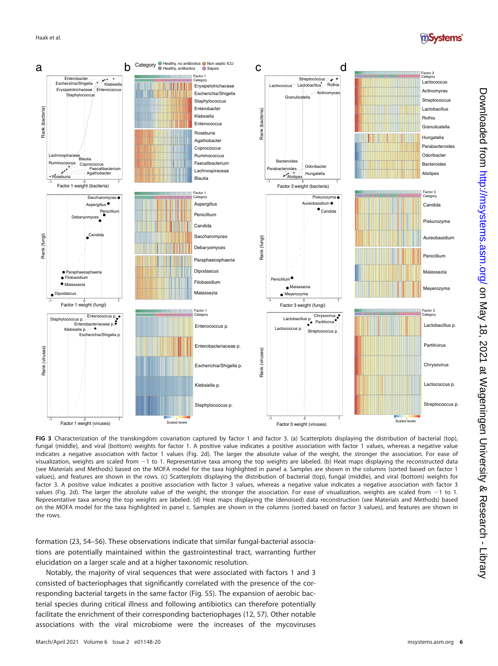

<span id="page-5-0"></span>FIG 3 Characterization of the transkingdom covariation captured by factor 1 and factor 3. (a) Scatterplots displaying the distribution of bacterial (top), fungal (middle), and viral (bottom) weights for factor 1. A positive value indicates a positive association with factor 1 values, whereas a negative value indicates a negative association with factor 1 values [\(Fig. 2d](#page-4-0)). The larger the absolute value of the weight, the stronger the association. For ease of visualization, weights are scaled from -1 to 1. Representative taxa among the top weights are labeled. (b) Heat maps displaying the reconstructed data (see Materials and Methods) based on the MOFA model for the taxa highlighted in panel a. Samples are shown in the columns (sorted based on factor 1 values), and features are shown in the rows. (c) Scatterplots displaying the distribution of bacterial (top), fungal (middle), and viral (bottom) weights for factor 3. A positive value indicates a positive association with factor 3 values, whereas a negative value indicates a negative association with factor 3 values [\(Fig. 2d\)](#page-4-0). The larger the absolute value of the weight, the stronger the association. For ease of visualization, weights are scaled from  $-1$  to 1. Representative taxa among the top weights are labeled. (d) Heat maps displaying the (denoised) data reconstruction (see Materials and Methods) based on the MOFA model for the taxa highlighted in panel c. Samples are shown in the columns (sorted based on factor 3 values), and features are shown in the rows.

formation [\(23](#page-12-2), [54](#page-12-32)[–](#page-13-0)[56\)](#page-13-1). These observations indicate that similar fungal-bacterial associations are potentially maintained within the gastrointestinal tract, warranting further elucidation on a larger scale and at a higher taxonomic resolution.

Notably, the majority of viral sequences that were associated with factors 1 and 3 consisted of bacteriophages that significantly correlated with the presence of the corresponding bacterial targets in the same factor (Fig. S5). The expansion of aerobic bacterial species during critical illness and following antibiotics can therefore potentially facilitate the enrichment of their corresponding bacteriophages [\(12,](#page-11-11) [57](#page-13-2)). Other notable associations with the viral microbiome were the increases of the mycoviruses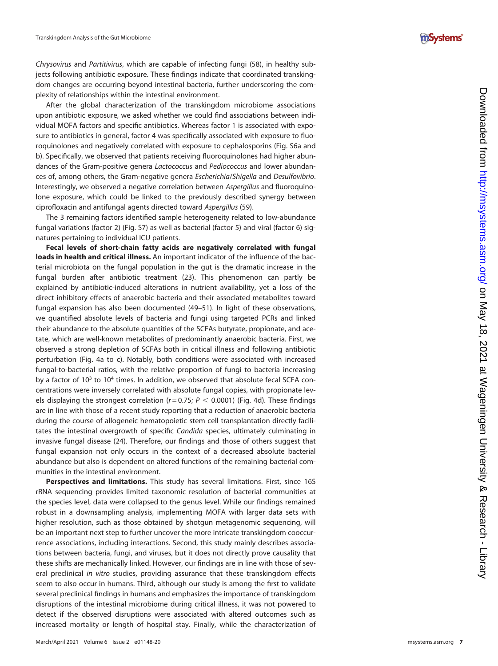

Chrysovirus and Partitivirus, which are capable of infecting fungi ([58](#page-13-3)), in healthy subjects following antibiotic exposure. These findings indicate that coordinated transkingdom changes are occurring beyond intestinal bacteria, further underscoring the complexity of relationships within the intestinal environment.

After the global characterization of the transkingdom microbiome associations upon antibiotic exposure, we asked whether we could find associations between individual MOFA factors and specific antibiotics. Whereas factor 1 is associated with exposure to antibiotics in general, factor 4 was specifically associated with exposure to fluoroquinolones and negatively correlated with exposure to cephalosporins (Fig. S6a and b). Speci fically, we observed that patients receiving fluoroquinolones had higher abundances of the Gram-positive genera Lactococcus and Pediococcus and lower abundances of, among others, the Gram-negative genera Escherichia/Shigella and Desulfovibrio. Interestingly, we observed a negative correlation between Aspergillus and fluoroquinolone exposure, which could be linked to the previously described synergy between cipro floxacin and antifungal agents directed toward Aspergillus [\(59\)](#page-13-4).

The 3 remaining factors identified sample heterogeneity related to low-abundance fungal variations (factor 2) (Fig. S7) as well as bacterial (factor 5) and viral (factor 6) signatures pertaining to individual ICU patients.

Fecal levels of short-chain fatty acids are negatively correlated with fungal loads in health and critical illness. An important indicator of the influence of the bacterial microbiota on the fungal population in the gut is the dramatic increase in the fungal burden after antibiotic treatment ([23\)](#page-12-2). This phenomenon can partly be explained by antibiotic-induced alterations in nutrient availability, yet a loss of the direct inhibitory effects of anaerobic bacteria and their associated metabolites toward fungal expansion has also been documented ([49](#page-12-27) [–](#page-12-28)[51\)](#page-12-29). In light of these observations, we quanti fied absolute levels of bacteria and fungi using targeted PCRs and linked their abundance to the absolute quantities of the SCFAs butyrate, propionate, and acetate, which are well-known metabolites of predominantly anaerobic bacteria. First, we observed a strong depletion of SCFAs both in critical illness and following antibiotic perturbation [\(Fig. 4a](#page-7-0) to [c](#page-7-0)). Notably, both conditions were associated with increased fungal-to-bacterial ratios, with the relative proportion of fungi to bacteria increasing by a factor of 10<sup>3</sup> to 10<sup>4</sup> times. In addition, we observed that absolute fecal SCFA concentrations were inversely correlated with absolute fungal copies, with propionate levels displaying the strongest correlation ( $r = 0.75$ ;  $P < 0.0001$ ) ([Fig. 4d\)](#page-7-0). These findings are in line with those of a recent study reporting that a reduction of anaerobic bacteria during the course of allogeneic hematopoietic stem cell transplantation directly facilitates the intestinal overgrowth of specific Candida species, ultimately culminating in invasive fungal disease ([24](#page-12-1)). Therefore, our findings and those of others suggest that fungal expansion not only occurs in the context of a decreased absolute bacterial abundance but also is dependent on altered functions of the remaining bacterial communities in the intestinal environment.

Perspectives and limitations. This study has several limitations. First, since 16S rRNA sequencing provides limited taxonomic resolution of bacterial communities at the species level, data were collapsed to the genus level. While our findings remained robust in a downsampling analysis, implementing MOFA with larger data sets with higher resolution, such as those obtained by shotgun metagenomic sequencing, will be an important next step to further uncover the more intricate transkingdom cooccurrence associations, including interactions. Second, this study mainly describes associations between bacteria, fungi, and viruses, but it does not directly prove causality that these shifts are mechanically linked. However, our findings are in line with those of several preclinical in vitro studies, providing assurance that these transkingdom effects seem to also occur in humans. Third, although our study is among the first to validate several preclinical findings in humans and emphasizes the importance of transkingdom disruptions of the intestinal microbiome during critical illness, it was not powered to detect if the observed disruptions were associated with altered outcomes such as increased mortality or length of hospital stay. Finally, while the characterization of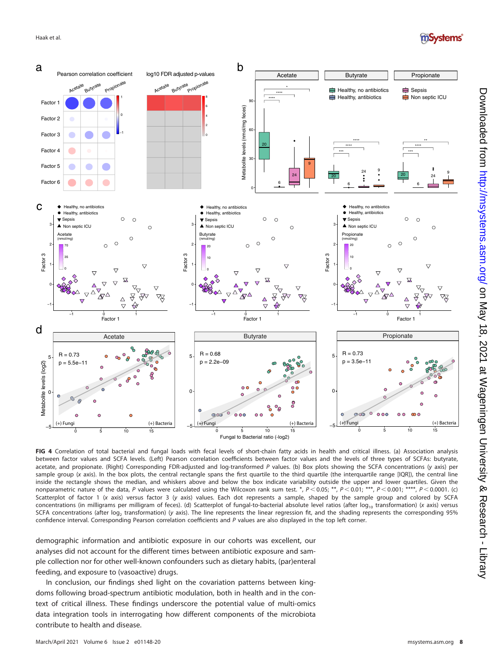



<span id="page-7-0"></span>FIG 4 Correlation of total bacterial and fungal loads with fecal levels of short-chain fatty acids in health and critical illness. (a) Association analysis between factor values and SCFA levels. (Left) Pearson correlation coefficients between factor values and the levels of three types of SCFAs: butyrate, acetate, and propionate. (Right) Corresponding FDR-adjusted and log-transformed P values. (b) Box plots showing the SCFA concentrations (y axis) per sample group (x axis). In the box plots, the central rectangle spans the first quartile to the third quartile (the interquartile range [IQR]), the central line inside the rectangle shows the median, and whiskers above and below the box indicate variability outside the upper and lower quartiles. Given the nonparametric nature of the data, P values were calculated using the Wilcoxon rank sum test. \*,  $P < 0.05$ ; \*\*,  $P < 0.01$ ; \*\*\*,  $P < 0.001$ ; \*\*\*,  $P < 0.0001$ . (c) Scatterplot of factor 1 (x axis) versus factor 3 (y axis) values. Each dot represents a sample, shaped by the sample group and colored by SCFA concentrations (in milligrams per milligram of feces). (d) Scatterplot of fungal-to-bacterial absolute level ratios (after log<sub>10</sub> transformation) (x axis) versus SCFA concentrations (after log, transformation) (y axis). The line represents the linear regression fit, and the shading represents the corresponding 95% confidence interval. Corresponding Pearson correlation coefficients and P values are also displayed in the top left corner.

demographic information and antibiotic exposure in our cohorts was excellent, our analyses did not account for the different times between antibiotic exposure and sample collection nor for other well-known confounders such as dietary habits, (par)enteral feeding, and exposure to (vasoactive) drugs.

In conclusion, our findings shed light on the covariation patterns between kingdoms following broad-spectrum antibiotic modulation, both in health and in the context of critical illness. These findings underscore the potential value of multi-omics data integration tools in interrogating how different components of the microbiota contribute to health and disease.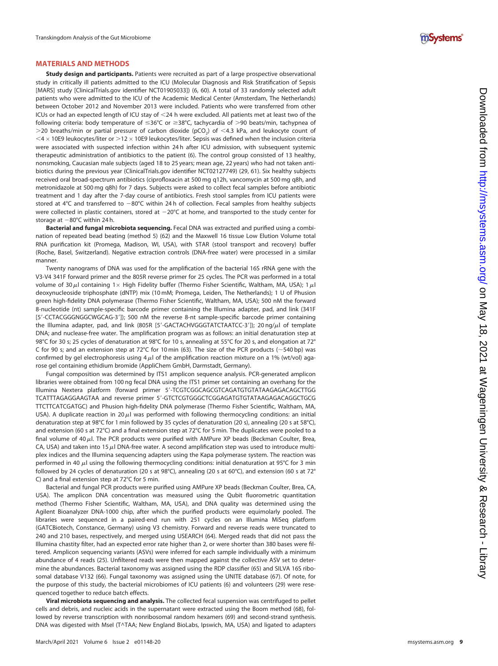### MATERIALS AND METHODS

Study design and participants. Patients were recruited as part of a large prospective observational study in critically ill patients admitted to the ICU (Molecular Diagnosis and Risk Strati fication of Sepsis [MARS] study [ClinicalTrials.gov identifier NCT01905033]) ([6,](#page-11-5) [60\)](#page-13-5). A total of 33 randomly selected adult patients who were admitted to the ICU of the Academic Medical Center (Amsterdam, The Netherlands) between October 2012 and November 2013 were included. Patients who were transferred from other ICUs or had an expected length of ICU stay of ,24 h were excluded. All patients met at least two of the following criteria: body temperature of ≤36°C or ≥38°C, tachycardia of >90 beats/min, tachypnea of  $>$ 20 breaths/min or partial pressure of carbon dioxide (pCO<sub>2</sub>) of  $<$ 4.3 kPa, and leukocyte count of  $<$ 4  $\times$  10E9 leukocytes/liter or  $>$ 12  $\times$  10E9 leukocytes/liter. Sepsis was defined when the inclusion criteria were associated with suspected infection within 24 h after ICU admission, with subsequent systemic therapeutic administration of antibiotics to the patient [\(6\)](#page-11-5). The control group consisted of 13 healthy, nonsmoking, Caucasian male subjects (aged 18 to 25 years; mean age, 22 years) who had not taken antibiotics during the previous year (ClinicalTrials.gov identifier NCT02127749) [\(29,](#page-12-7) [61](#page-13-6)). Six healthy subjects received oral broad-spectrum antibiotics (ciprofloxacin at 500 mg q12h, vancomycin at 500 mg q8h, and metronidazole at 500 mg q8h) for 7 days. Subjects were asked to collect fecal samples before antibiotic treatment and 1 day after the 7-day course of antibiotics. Fresh stool samples from ICU patients were stored at 4°C and transferred to  $-80^{\circ}$ C within 24 h of collection. Fecal samples from healthy subjects were collected in plastic containers, stored at  $-20^{\circ}$ C at home, and transported to the study center for storage at 280°C within 24 h.

Bacterial and fungal microbiota sequencing. Fecal DNA was extracted and purified using a combination of repeated bead beating (method 5) [\(62\)](#page-13-7) and the Maxwell 16 tissue Low Elution Volume total RNA puri fication kit (Promega, Madison, WI, USA), with STAR (stool transport and recovery) buffer (Roche, Basel, Switzerland). Negative extraction controls (DNA-free water) were processed in a similar manner.

Twenty nanograms of DNA was used for the ampli fication of the bacterial 16S rRNA gene with the V3-V4 341F forward primer and the 805R reverse primer for 25 cycles. The PCR was performed in a total volume of 30 $\mu$ l containing 1 $\times$  High Fidelity buffer (Thermo Fisher Scientific, Waltham, MA, USA); 1 $\mu$ l deoxynucleoside triphosphate (dNTP) mix (10 mM; Promega, Leiden, The Netherlands); 1 U of Phusion green high-fidelity DNA polymerase (Thermo Fisher Scienti fic, Waltham, MA, USA); 500 nM the forward 8-nucleotide (nt) sample-speci fic barcode primer containing the Illumina adapter, pad, and link (341F [5'-CCTACGGGNGGCWGCAG-3']); 500 nM the reverse 8-nt sample-specific barcode primer containing the Illumina adapter, pad, and link (805R [5'-GACTACHVGGGTATCTAATCC-3']); 20 ng/ $\mu$ l of template DNA; and nuclease-free water. The ampli fication program was as follows: an initial denaturation step at 98°C for 30 s; 25 cycles of denaturation at 98°C for 10 s, annealing at 55°C for 20 s, and elongation at 72° C for 90 s; and an extension step at 72°C for 10 min ([63](#page-13-8)). The size of the PCR products ( $\sim$ 540 bp) was confirmed by gel electrophoresis using 4  $\mu$ l of the amplification reaction mixture on a 1% (wt/vol) agarose gel containing ethidium bromide (AppliChem GmbH, Darmstadt, Germany).

Fungal composition was determined by ITS1 amplicon sequence analysis. PCR-generated amplicon libraries were obtained from 100 ng fecal DNA using the ITS1 primer set containing an overhang for the Illumina Nextera platform (forward primer 5 9-TCGTCGGCAGCGTCAGATGTGTATAAGAGACAGCTTGG TCATTTAGAGGAAGTAA and reverse primer 5 9-GTCTCGTGGGCTCGGAGATGTGTATAAGAGACAGGCTGCG TTCTTCATCGATGC) and Phusion high-fidelity DNA polymerase (Thermo Fisher Scienti fic, Waltham, MA, USA). A duplicate reaction in 20  $\mu$ l was performed with following thermocycling conditions: an initial denaturation step at 98°C for 1 min followed by 35 cycles of denaturation (20 s), annealing (20 s at 58°C), and extension (60 s at 72°C) and a final extension step at 72°C for 5 min. The duplicates were pooled to a final volume of 40  $\mu$ l. The PCR products were purified with AMPure XP beads (Beckman Coulter, Brea, CA, USA) and taken into 15  $\mu$ I DNA-free water. A second amplification step was used to introduce multiplex indices and the Illumina sequencing adapters using the Kapa polymerase system. The reaction was performed in 40  $\mu$ l using the following thermocycling conditions: initial denaturation at 95°C for 3 min followed by 24 cycles of denaturation (20 s at 98°C), annealing (20 s at 60°C), and extension (60 s at 72° C) and a final extension step at 72°C for 5 min.

Bacterial and fungal PCR products were puri fied using AMPure XP beads (Beckman Coulter, Brea, CA, USA). The amplicon DNA concentration was measured using the Qubit fluorometric quantitation method (Thermo Fisher Scienti fic, Waltham, MA, USA), and DNA quality was determined using the Agilent Bioanalyzer DNA-1000 chip, after which the puri fied products were equimolarly pooled. The libraries were sequenced in a paired-end run with 251 cycles on an Illumina MiSeq platform (GATCBiotech, Constance, Germany) using V3 chemistry. Forward and reverse reads were truncated to 240 and 210 bases, respectively, and merged using USEARCH [\(64\)](#page-13-9). Merged reads that did not pass the Illumina chastity filter, had an expected error rate higher than 2, or were shorter than 380 bases were filtered. Amplicon sequencing variants (ASVs) were inferred for each sample individually with a minimum abundance of 4 reads [\(25\)](#page-12-3). Unfiltered reads were then mapped against the collective ASV set to determine the abundances. Bacterial taxonomy was assigned using the RDP classifier [\(65\)](#page-13-10) and SILVA 16S ribosomal database V132 ([66\)](#page-13-11). Fungal taxonomy was assigned using the UNITE database ([67](#page-13-12)). Of note, for the purpose of this study, the bacterial microbiomes of ICU patients [\(6\)](#page-11-5) and volunteers ([29](#page-12-7)) were resequenced together to reduce batch effects.

Viral microbiota sequencing and analysis. The collected fecal suspension was centrifuged to pellet cells and debris, and nucleic acids in the supernatant were extracted using the Boom method ([68\)](#page-13-13), followed by reverse transcription with nonribosomal random hexamers ([69](#page-13-14)) and second-strand synthesis. DNA was digested with Msel (T^TAA; New England BioLabs, Ipswich, MA, USA) and ligated to adapters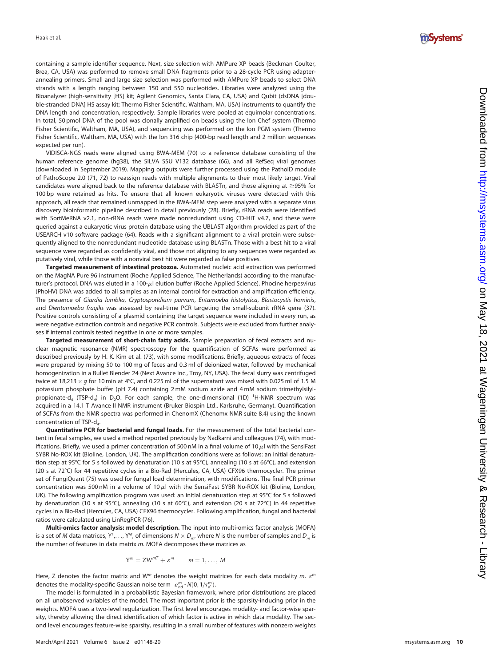

containing a sample identifier sequence. Next, size selection with AMPure XP beads (Beckman Coulter, Brea, CA, USA) was performed to remove small DNA fragments prior to a 28-cycle PCR using adapterannealing primers. Small and large size selection was performed with AMPure XP beads to select DNA strands with a length ranging between 150 and 550 nucleotides. Libraries were analyzed using the Bioanalyzer (high-sensitivity [HS] kit; Agilent Genomics, Santa Clara, CA, USA) and Qubit (dsDNA [double-stranded DNA] HS assay kit; Thermo Fisher Scientific, Waltham, MA, USA) instruments to quantify the DNA length and concentration, respectively. Sample libraries were pooled at equimolar concentrations. In total, 50 pmol DNA of the pool was clonally ampli fied on beads using the Ion Chef system (Thermo Fisher Scienti fic, Waltham, MA, USA), and sequencing was performed on the Ion PGM system (Thermo Fisher Scientific, Waltham, MA, USA) with the Ion 316 chip (400-bp read length and 2 million sequences expected per run).

VIDISCA-NGS reads were aligned using BWA-MEM [\(70\)](#page-13-15) to a reference database consisting of the human reference genome (hg38), the SILVA SSU V132 database [\(66](#page-13-11)), and all RefSeq viral genomes (downloaded in September 2019). Mapping outputs were further processed using the PathoID module of PathoScope 2.0 [\(71,](#page-13-16) [72\)](#page-13-17) to reassign reads with multiple alignments to their most likely target. Viral candidates were aligned back to the reference database with BLASTn, and those aligning at  $\geq$ 95% for 100 bp were retained as hits. To ensure that all known eukaryotic viruses were detected with this approach, all reads that remained unmapped in the BWA-MEM step were analyzed with a separate virus discovery bioinformatic pipeline described in detail previously ([28](#page-12-6)). Brie fly, rRNA reads were identi fied with SortMeRNA v2.1, non-rRNA reads were made nonredundant using CD-HIT v4.7, and these were queried against a eukaryotic virus protein database using the UBLAST algorithm provided as part of the USEARCH v10 software package [\(64\)](#page-13-9). Reads with a significant alignment to a viral protein were subsequently aligned to the nonredundant nucleotide database using BLASTn. Those with a best hit to a viral sequence were regarded as confidently viral, and those not aligning to any sequences were regarded as putatively viral, while those with a nonviral best hit were regarded as false positives.

Targeted measurement of intestinal protozoa. Automated nucleic acid extraction was performed on the MagNA Pure 96 instrument (Roche Applied Science, The Netherlands) according to the manufacturer's protocol. DNA was eluted in a 100- $\mu$ l elution buffer (Roche Applied Science). Phocine herpesvirus (PhoHV) DNA was added to all samples as an internal control for extraction and ampli fication efficiency. The presence of Giardia lamblia, Cryptosporidium parvum, Entamoeba histolytica, Blastocystis hominis, and Dientamoeba fragilis was assessed by real-time PCR targeting the small-subunit rRNA gene ([37](#page-12-15)). Positive controls consisting of a plasmid containing the target sequence were included in every run, as were negative extraction controls and negative PCR controls. Subjects were excluded from further analyses if internal controls tested negative in one or more samples.

Targeted measurement of short-chain fatty acids. Sample preparation of fecal extracts and nuclear magnetic resonance (NMR) spectroscopy for the quantification of SCFAs were performed as described previously by H. K. Kim et al. ([73\)](#page-13-18), with some modi fications. Brie fly, aqueous extracts of feces were prepared by mixing 50 to 100 mg of feces and 0.3 ml of deionized water, followed by mechanical homogenization in a Bullet Blender 24 (Next Avance Inc., Troy, NY, USA). The fecal slurry was centrifuged twice at 18,213  $\times$  g for 10 min at 4°C, and 0.225 ml of the supernatant was mixed with 0.025 ml of 1.5 M potassium phosphate buffer (pH 7.4) containing 2 mM sodium azide and 4 mM sodium trimethylsilylpropionate-d<sub>4</sub> (TSP-d<sub>4</sub>) in D<sub>2</sub>O. For each sample, the one-dimensional (1D) <sup>1</sup>H-NMR spectrum was acquired in a 14.1 T Avance II NMR instrument (Bruker Biospin Ltd., Karlsruhe, Germany). Quanti fication of SCFAs from the NMR spectra was performed in ChenomX (Chenomx NMR suite 8.4) using the known concentration of TSP-d 4 .

Quantitative PCR for bacterial and fungal loads. For the measurement of the total bacterial content in fecal samples, we used a method reported previously by Nadkarni and colleagues [\(74\)](#page-13-19), with mod ifications. Briefly, we used a primer concentration of 500 nM in a final volume of 10 $\mu$ l with the SensiFast SYBR No-ROX kit (Bioline, London, UK). The amplification conditions were as follows: an initial denaturation step at 95°C for 5 s followed by denaturation (10 s at 95°C), annealing (10 s at 66°C), and extension (20 s at 72°C) for 44 repetitive cycles in a Bio-Rad (Hercules, CA, USA) CFX96 thermocycler. The primer set of FungiQuant [\(75](#page-13-20)) was used for fungal load determination, with modi fications. The final PCR primer concentration was 500 nM in a volume of 10  $\mu$ l with the SensiFast SYBR No-ROX kit (Bioline, London, UK). The following amplification program was used: an initial denaturation step at 95°C for 5 s followed by denaturation (10 s at 95°C), annealing (10 s at 60°C), and extension (20 s at 72°C) in 44 repetitive cycles in a Bio-Rad (Hercules, CA, USA) CFX96 thermocycler. Following ampli fication, fungal and bacterial ratios were calculated using LinRegPCR ([76](#page-13-21)).

Multi-omics factor analysis: model description. The input into multi-omics factor analysis (MOFA) is a set of M data matrices, Y<sup>1</sup>, . . ., Y<sup>M</sup>, of dimensions  $N \times D_{m'}$ , where N is the number of samples and  $D_m$  is the number of features in data matrix m. MOFA decomposes these matrices as

$$
Y^m = ZW^{mT} + \varepsilon^m \qquad m = 1, \ldots, M
$$

Here, Z denotes the factor matrix and W<sup>m</sup> denotes the weight matrices for each data modality m.  $\varepsilon^m$ denotes the modality-specific Gaussian noise term  $\mathcal{E}_{nd}^{m} \sim \mathcal{N}(0, 1/\tau_{d}^{m})$ .

The model is formulated in a probabilistic Bayesian framework, where prior distributions are placed on all unobserved variables of the model. The most important prior is the sparsity-inducing prior in the weights. MOFA uses a two-level regularization. The first level encourages modality- and factor-wise sparsity, thereby allowing the direct identification of which factor is active in which data modality. The second level encourages feature-wise sparsity, resulting in a small number of features with nonzero weights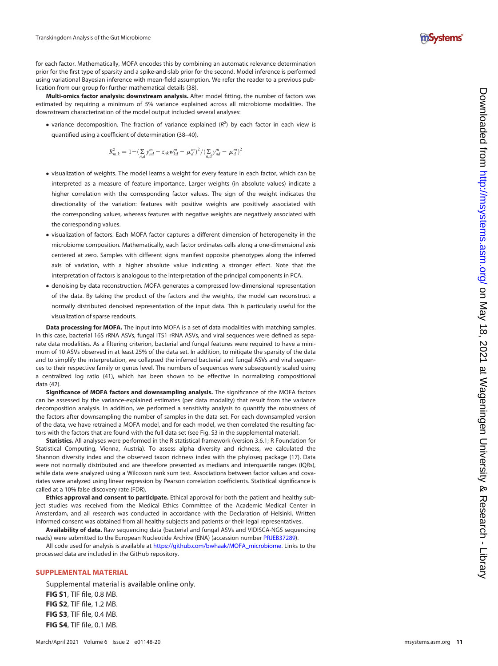

for each factor. Mathematically, MOFA encodes this by combining an automatic relevance determination prior for the first type of sparsity and a spike-and-slab prior for the second. Model inference is performed using variational Bayesian inference with mean-field assumption. We refer the reader to a previous publication from our group for further mathematical details [\(38\)](#page-12-16).

Multi-omics factor analysis: downstream analysis. After model fitting, the number of factors was estimated by requiring a minimum of 5% variance explained across all microbiome modalities. The downstream characterization of the model output included several analyses:

• variance decomposition. The fraction of variance explained  $(R^2)$  by each factor in each view is quanti fied using a coefficient of determination ([38](#page-12-16) [–](#page-12-17)[40](#page-12-18)),

$$
R_{m,k}^{2} = 1 - \left(\sum_{n,d} y_{nd}^{m} - z_{nk} w_{kd}^{m} - \mu_{d}^{m}\right)^{2} / \left(\sum_{n,d} y_{nd}^{m} - \mu_{d}^{m}\right)^{2}
$$

- visualization of weights. The model learns a weight for every feature in each factor, which can be interpreted as a measure of feature importance. Larger weights (in absolute values) indicate a higher correlation with the corresponding factor values. The sign of the weight indicates the directionality of the variation: features with positive weights are positively associated with the corresponding values, whereas features with negative weights are negatively associated with the corresponding values.
- visualization of factors. Each MOFA factor captures a different dimension of heterogeneity in the microbiome composition. Mathematically, each factor ordinates cells along a one-dimensional axis centered at zero. Samples with different signs manifest opposite phenotypes along the inferred axis of variation, with a higher absolute value indicating a stronger effect. Note that the interpretation of factors is analogous to the interpretation of the principal components in PCA.
- denoising by data reconstruction. MOFA generates a compressed low-dimensional representation of the data. By taking the product of the factors and the weights, the model can reconstruct a normally distributed denoised representation of the input data. This is particularly useful for the visualization of sparse readouts.

Data processing for MOFA. The input into MOFA is a set of data modalities with matching samples. In this case, bacterial 16S rRNA ASVs, fungal ITS1 rRNA ASVs, and viral sequences were de fined as separate data modalities. As a filtering criterion, bacterial and fungal features were required to have a minimum of 10 ASVs observed in at least 25% of the data set. In addition, to mitigate the sparsity of the data and to simplify the interpretation, we collapsed the inferred bacterial and fungal ASVs and viral sequences to their respective family or genus level. The numbers of sequences were subsequently scaled using a centralized log ratio ([41\)](#page-12-19), which has been shown to be effective in normalizing compositional data ([42\)](#page-12-20).

Significance of MOFA factors and downsampling analysis. The significance of the MOFA factors can be assessed by the variance-explained estimates (per data modality) that result from the variance decomposition analysis. In addition, we performed a sensitivity analysis to quantify the robustness of the factors after downsampling the number of samples in the data set. For each downsampled version of the data, we have retrained a MOFA model, and for each model, we then correlated the resulting factors with the factors that are found with the full data set (see Fig. S3 in the supplemental material).

Statistics. All analyses were performed in the R statistical framework (version 3.6.1; R Foundation for Statistical Computing, Vienna, Austria). To assess alpha diversity and richness, we calculated the Shannon diversity index and the observed taxon richness index with the phyloseq package [\(17\)](#page-11-14). Data were not normally distributed and are therefore presented as medians and interquartile ranges (IQRs), while data were analyzed using a Wilcoxon rank sum test. Associations between factor values and covariates were analyzed using linear regression by Pearson correlation coefficients. Statistical significance is called at a 10% false discovery rate (FDR).

Ethics approval and consent to participate. Ethical approval for both the patient and healthy subject studies was received from the Medical Ethics Committee of the Academic Medical Center in Amsterdam, and all research was conducted in accordance with the Declaration of Helsinki. Written informed consent was obtained from all healthy subjects and patients or their legal representatives.

Availability of data. Raw sequencing data (bacterial and fungal ASVs and VIDISCA-NGS sequencing reads) were submitted to the European Nucleotide Archive (ENA) (accession number [PRJEB37289](https://www.ebi.ac.uk/ena/browser/view/PRJEB37289)).

All code used for analysis is available at [https://github.com/bwhaak/MOFA\\_microbiome.](https://github.com/bwhaak/MOFA_microbiome) Links to the processed data are included in the GitHub repository.

# SUPPLEMENTAL MATERIAL

**FIG S4, TIF file, 0.1 MB.** 

Supplemental material is available online only. FIG S1, TIF file, 0.8 MB. FIG S2, TIF file, 1.2 MB. FIG S3, TIF file, 0.4 MB.

March/April 2021 Volume 6 Issue 2 e01148-20 [msystems.asm.org](https://msystems.asm.org) 11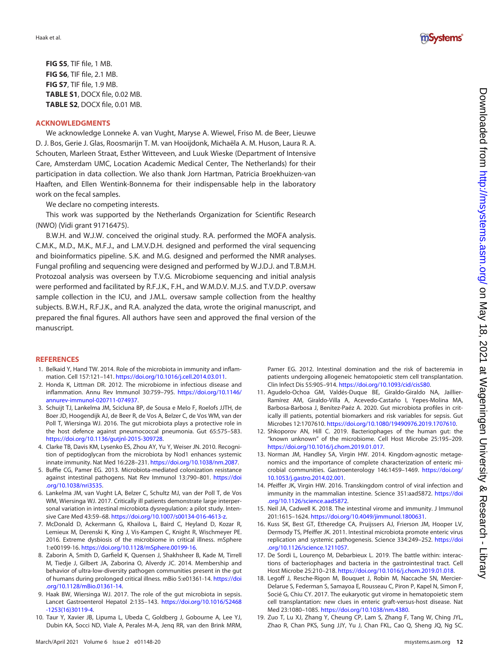FIG S5, TIF file, 1 MB. FIG S6, TIF file, 2.1 MB. FIG S7, TIF file, 1.9 MB. TABLE S1, DOCX file, 0.02 MB. TABLE S2, DOCX file, 0.01 MB.

# ACKNOWLEDGMENTS

We acknowledge Lonneke A. van Vught, Maryse A. Wiewel, Friso M. de Beer, Lieuwe D. J. Bos, Gerie J. Glas, Roosmarijn T. M. van Hooijdonk, Michaëla A. M. Huson, Laura R. A. Schouten, Marleen Straat, Esther Witteveen, and Luuk Wieske (Department of Intensive Care, Amsterdam UMC, Location Academic Medical Center, The Netherlands) for their participation in data collection. We also thank Jorn Hartman, Patricia Broekhuizen-van Haaften, and Ellen Wentink-Bonnema for their indispensable help in the laboratory work on the fecal samples.

We declare no competing interests.

This work was supported by the Netherlands Organization for Scientific Research (NWO) (Vidi grant 91716475).

B.W.H. and W.J.W. conceived the original study. R.A. performed the MOFA analysis. C.M.K., M.D., M.K., M.F.J., and L.M.V.D.H. designed and performed the viral sequencing and bioinformatics pipeline. S.K. and M.G. designed and performed the NMR analyses. Fungal profiling and sequencing were designed and performed by W.J.D.J. and T.B.M.H. Protozoal analysis was overseen by T.V.G. Microbiome sequencing and initial analysis were performed and facilitated by R.F.J.K., F.H., and W.M.D.V. M.J.S. and T.V.D.P. oversaw sample collection in the ICU, and J.M.L. oversaw sample collection from the healthy subjects. B.W.H., R.F.J.K., and R.A. analyzed the data, wrote the original manuscript, and prepared the final figures. All authors have seen and approved the final version of the manuscript.

#### **REFERENCES**

- <span id="page-11-0"></span>1. Belkaid Y, Hand TW. 2014. Role of the microbiota in immunity and inflammation. Cell 157:121–141. [https://doi.org/10.1016/j.cell.2014.03.011.](https://doi.org/10.1016/j.cell.2014.03.011)
- <span id="page-11-1"></span>2. Honda K, Littman DR. 2012. The microbiome in infectious disease and inflammation. Annu Rev Immunol 30:759–795. [https://doi.org/10.1146/](https://doi.org/10.1146/annurev-immunol-020711-074937) [annurev-immunol-020711-074937](https://doi.org/10.1146/annurev-immunol-020711-074937).
- <span id="page-11-2"></span>3. Schuijt TJ, Lankelma JM, Scicluna BP, de Sousa e Melo F, Roelofs JJTH, de Boer JD, Hoogendijk AJ, de Beer R, de Vos A, Belzer C, de Vos WM, van der Poll T, Wiersinga WJ. 2016. The gut microbiota plays a protective role in the host defence against pneumococcal pneumonia. Gut 65:575–583. [https://doi.org/10.1136/gutjnl-2015-309728.](https://doi.org/10.1136/gutjnl-2015-309728)
- <span id="page-11-3"></span>4. Clarke TB, Davis KM, Lysenko ES, Zhou AY, Yu Y, Weiser JN. 2010. Recognition of peptidoglycan from the microbiota by Nod1 enhances systemic innate immunity. Nat Med 16:228–231. <https://doi.org/10.1038/nm.2087>.
- <span id="page-11-4"></span>5. Buffie CG, Pamer EG. 2013. Microbiota-mediated colonization resistance against intestinal pathogens. Nat Rev Immunol 13:790–801. [https://doi](https://doi.org/10.1038/nri3535) [.org/10.1038/nri3535.](https://doi.org/10.1038/nri3535)
- <span id="page-11-5"></span>6. Lankelma JM, van Vught LA, Belzer C, Schultz MJ, van der Poll T, de Vos WM, Wiersinga WJ. 2017. Critically ill patients demonstrate large interpersonal variation in intestinal microbiota dysregulation: a pilot study. Intensive Care Med 43:59–68. <https://doi.org/10.1007/s00134-016-4613-z>.
- <span id="page-11-6"></span>7. McDonald D, Ackermann G, Khailova L, Baird C, Heyland D, Kozar R, Lemieux M, Derenski K, King J, Vis-Kampen C, Knight R, Wischmeyer PE. 2016. Extreme dysbiosis of the microbiome in critical illness. mSphere 1:e00199-16. <https://doi.org/10.1128/mSphere.00199-16>.
- <span id="page-11-7"></span>8. Zaborin A, Smith D, Garfield K, Quensen J, Shakhsheer B, Kade M, Tirrell M, Tiedje J, Gilbert JA, Zaborina O, Alverdy JC. 2014. Membership and behavior of ultra-low-diversity pathogen communities present in the gut of humans during prolonged critical illness. mBio 5:e01361-14. [https://doi](https://doi.org/10.1128/mBio.01361-14) [.org/10.1128/mBio.01361-14](https://doi.org/10.1128/mBio.01361-14).
- <span id="page-11-8"></span>9. Haak BW, Wiersinga WJ. 2017. The role of the gut microbiota in sepsis. Lancet Gastroenterol Hepatol 2:135–143. [https://doi.org/10.1016/S2468](https://doi.org/10.1016/S2468-1253(16)30119-4) [-1253\(16\)30119-4](https://doi.org/10.1016/S2468-1253(16)30119-4).
- <span id="page-11-9"></span>10. Taur Y, Xavier JB, Lipuma L, Ubeda C, Goldberg J, Gobourne A, Lee YJ, Dubin KA, Socci ND, Viale A, Perales M-A, Jenq RR, van den Brink MRM,



- <span id="page-11-10"></span>11. Agudelo-Ochoa GM, Valdés-Duque BE, Giraldo-Giraldo NA, Jaillier-Ramírez AM, Giraldo-Villa A, Acevedo-Castaño I, Yepes-Molina MA, Barbosa-Barbosa J, Benítez-Paéz A. 2020. Gut microbiota profiles in critically ill patients, potential biomarkers and risk variables for sepsis. Gut Microbes 12:1707610. [https://doi.org/10.1080/19490976.2019.1707610.](https://doi.org/10.1080/19490976.2019.1707610)
- <span id="page-11-11"></span>12. Shkoporov AN, Hill C. 2019. Bacteriophages of the human gut: the "known unknown" of the microbiome. Cell Host Microbe 25:195–209. <https://doi.org/10.1016/j.chom.2019.01.017>.
- 13. Norman JM, Handley SA, Virgin HW. 2014. Kingdom-agnostic metagenomics and the importance of complete characterization of enteric microbial communities. Gastroenterology 146:1459–1469. [https://doi.org/](https://doi.org/10.1053/j.gastro.2014.02.001) [10.1053/j.gastro.2014.02.001](https://doi.org/10.1053/j.gastro.2014.02.001).
- 14. Pfeiffer JK, Virgin HW. 2016. Transkingdom control of viral infection and immunity in the mammalian intestine. Science 351:aad5872. [https://doi](https://doi.org/10.1126/science.aad5872) [.org/10.1126/science.aad5872](https://doi.org/10.1126/science.aad5872).
- <span id="page-11-12"></span>15. Neil JA, Cadwell K. 2018. The intestinal virome and immunity. J Immunol 201:1615–1624. <https://doi.org/10.4049/jimmunol.1800631>.
- <span id="page-11-13"></span>16. Kuss SK, Best GT, Etheredge CA, Pruijssers AJ, Frierson JM, Hooper LV, Dermody TS, Pfeiffer JK. 2011. Intestinal microbiota promote enteric virus replication and systemic pathogenesis. Science 334:249–252. [https://doi](https://doi.org/10.1126/science.1211057) [.org/10.1126/science.1211057](https://doi.org/10.1126/science.1211057).
- <span id="page-11-14"></span>17. De Sordi L, Lourenço M, Debarbieux L. 2019. The battle within: interactions of bacteriophages and bacteria in the gastrointestinal tract. Cell Host Microbe 25:210–218. [https://doi.org/10.1016/j.chom.2019.01.018.](https://doi.org/10.1016/j.chom.2019.01.018)
- <span id="page-11-15"></span>18. Legoff J, Resche-Rigon M, Bouquet J, Robin M, Naccache SN, Mercier-Delarue S, Federman S, Samayoa E, Rousseau C, Piron P, Kapel N, Simon F, Socié G, Chiu CY. 2017. The eukaryotic gut virome in hematopoietic stem cell transplantation: new clues in enteric graft-versus-host disease. Nat Med 23:1080–1085. [https://doi.org/10.1038/nm.4380.](https://doi.org/10.1038/nm.4380)
- <span id="page-11-16"></span>19. Zuo T, Lu XJ, Zhang Y, Cheung CP, Lam S, Zhang F, Tang W, Ching JYL, Zhao R, Chan PKS, Sung JJY, Yu J, Chan FKL, Cao Q, Sheng JQ, Ng SC.

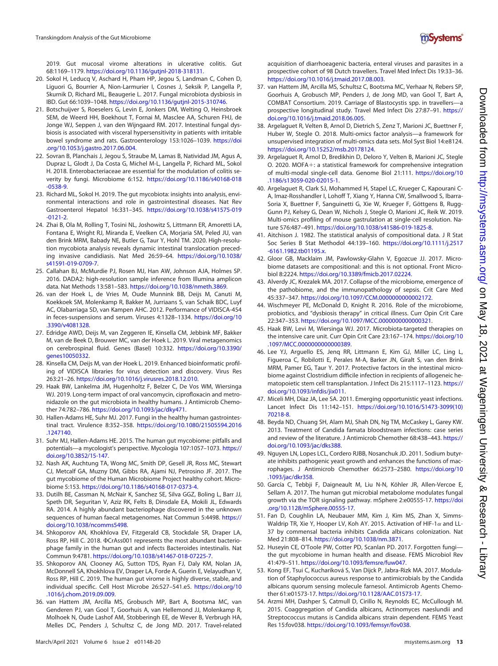

2019. Gut mucosal virome alterations in ulcerative colitis. Gut 68:1169–1179. <https://doi.org/10.1136/gutjnl-2018-318131>.

- <span id="page-12-0"></span>20. Sokol H, Leducq V, Aschard H, Pham HP, Jegou S, Landman C, Cohen D, Liguori G, Bourrier A, Nion-Larmurier I, Cosnes J, Seksik P, Langella P, Skurnik D, Richard ML, Beaugerie L. 2017. Fungal microbiota dysbiosis in IBD. Gut 66:1039–1048. <https://doi.org/10.1136/gutjnl-2015-310746>.
- 21. Botschuijver S, Roeselers G, Levin E, Jonkers DM, Welting O, Heinsbroek SEM, de Weerd HH, Boekhout T, Fornai M, Masclee AA, Schuren FHJ, de Jonge WJ, Seppen J, van den Wijngaard RM. 2017. Intestinal fungal dysbiosis is associated with visceral hypersensitivity in patients with irritable bowel syndrome and rats. Gastroenterology 153:1026–1039. [https://doi](https://doi.org/10.1053/j.gastro.2017.06.004) [.org/10.1053/j.gastro.2017.06.004.](https://doi.org/10.1053/j.gastro.2017.06.004)
- 22. Sovran B, Planchais J, Jegou S, Straube M, Lamas B, Natividad JM, Agus A, Dupraz L, Glodt J, Da Costa G, Michel M-L, Langella P, Richard ML, Sokol H. 2018. Enterobacteriaceae are essential for the modulation of colitis severity by fungi. Microbiome 6:152. [https://doi.org/10.1186/s40168-018](https://doi.org/10.1186/s40168-018-0538-9) [-0538-9](https://doi.org/10.1186/s40168-018-0538-9).
- <span id="page-12-2"></span>23. Richard ML, Sokol H. 2019. The gut mycobiota: insights into analysis, environmental interactions and role in gastrointestinal diseases. Nat Rev Gastroenterol Hepatol 16:331–345. [https://doi.org/10.1038/s41575-019](https://doi.org/10.1038/s41575-019-0121-2) [-0121-2](https://doi.org/10.1038/s41575-019-0121-2).
- <span id="page-12-1"></span>24. Zhai B, Ola M, Rolling T, Tosini NL, Joshowitz S, Littmann ER, Amoretti LA, Fontana E, Wright RJ, Miranda E, Veelken CA, Morjaria SM, Peled JU, van den Brink MRM, Babady NE, Butler G, Taur Y, Hohl TM. 2020. High-resolution mycobiota analysis reveals dynamic intestinal translocation preceding invasive candidiasis. Nat Med 26:59–64. [https://doi.org/10.1038/](https://doi.org/10.1038/s41591-019-0709-7) [s41591-019-0709-7](https://doi.org/10.1038/s41591-019-0709-7).
- <span id="page-12-3"></span>25. Callahan BJ, McMurdie PJ, Rosen MJ, Han AW, Johnson AJA, Holmes SP. 2016. DADA2: high-resolution sample inference from Illumina amplicon data. Nat Methods 13:581–583. [https://doi.org/10.1038/nmeth.3869.](https://doi.org/10.1038/nmeth.3869)
- <span id="page-12-4"></span>26. van der Hoek L, de Vries M, Oude Munnink BB, Deijs M, Canuti M, Koekkoek SM, Molenkamp R, Bakker M, Jurriaans S, van Schaik BDC, Luyf AC, Olabarriaga SD, van Kampen AHC. 2012. Performance of VIDISCA-454 in feces-suspensions and serum. Viruses 4:1328-1334. [https://doi.org/10](https://doi.org/10.3390/v4081328) [.3390/v4081328](https://doi.org/10.3390/v4081328).
- <span id="page-12-5"></span>27. Edridge AWD, Deijs M, van Zeggeren IE, Kinsella CM, Jebbink MF, Bakker M, van de Beek D, Brouwer MC, van der Hoek L. 2019. Viral metagenomics on cerebrospinal fluid. Genes (Basel) 10:332. [https://doi.org/10.3390/](https://doi.org/10.3390/genes10050332) [genes10050332](https://doi.org/10.3390/genes10050332).
- <span id="page-12-6"></span>28. Kinsella CM, Deijs M, van der Hoek L. 2019. Enhanced bioinformatic profiling of VIDISCA libraries for virus detection and discovery. Virus Res 263:21–26. [https://doi.org/10.1016/j.virusres.2018.12.010.](https://doi.org/10.1016/j.virusres.2018.12.010)
- <span id="page-12-7"></span>29. Haak BW, Lankelma JM, Hugenholtz F, Belzer C, De Vos WM, Wiersinga WJ. 2019. Long-term impact of oral vancomycin, ciprofloxacin and metronidazole on the gut microbiota in healthy humans. J Antimicrob Chemother 74:782–786. [https://doi.org/10.1093/jac/dky471.](https://doi.org/10.1093/jac/dky471)
- <span id="page-12-8"></span>30. Hallen-Adams HE, Suhr MJ. 2017. Fungi in the healthy human gastrointestinal tract. Virulence 8:352–358. [https://doi.org/10.1080/21505594.2016](https://doi.org/10.1080/21505594.2016.1247140) [.1247140.](https://doi.org/10.1080/21505594.2016.1247140)
- <span id="page-12-9"></span>31. Suhr MJ, Hallen-Adams HE. 2015. The human gut mycobiome: pitfalls and potentials-a mycologist's perspective. Mycologia 107:1057-1073. [https://](https://doi.org/10.3852/15-147) [doi.org/10.3852/15-147](https://doi.org/10.3852/15-147).
- <span id="page-12-10"></span>32. Nash AK, Auchtung TA, Wong MC, Smith DP, Gesell JR, Ross MC, Stewart CJ, Metcalf GA, Muzny DM, Gibbs RA, Ajami NJ, Petrosino JF. 2017. The gut mycobiome of the Human Microbiome Project healthy cohort. Microbiome 5:153. <https://doi.org/10.1186/s40168-017-0373-4>.
- <span id="page-12-11"></span>33. Dutilh BE, Cassman N, McNair K, Sanchez SE, Silva GGZ, Boling L, Barr JJ, Speth DR, Seguritan V, Aziz RK, Felts B, Dinsdale EA, Mokili JL, Edwards RA. 2014. A highly abundant bacteriophage discovered in the unknown sequences of human faecal metagenomes. Nat Commun 5:4498. [https://](https://doi.org/10.1038/ncomms5498) [doi.org/10.1038/ncomms5498](https://doi.org/10.1038/ncomms5498).
- <span id="page-12-12"></span>34. Shkoporov AN, Khokhlova EV, Fitzgerald CB, Stockdale SR, Draper LA, Ross RP, Hill C. 2018.  $\Phi$ CrAss001 represents the most abundant bacteriophage family in the human gut and infects Bacteroides intestinalis. Nat Commun 9:4781. <https://doi.org/10.1038/s41467-018-07225-7>.
- <span id="page-12-13"></span>35. Shkoporov AN, Clooney AG, Sutton TDS, Ryan FJ, Daly KM, Nolan JA, McDonnell SA, Khokhlova EV, Draper LA, Forde A, Guerin E, Velayudhan V, Ross RP, Hill C. 2019. The human gut virome is highly diverse, stable, and individual specific. Cell Host Microbe 26:527–541.e5. [https://doi.org/10](https://doi.org/10.1016/j.chom.2019.09.009) [.1016/j.chom.2019.09.009](https://doi.org/10.1016/j.chom.2019.09.009).
- <span id="page-12-14"></span>36. van Hattem JM, Arcilla MS, Grobusch MP, Bart A, Bootsma MC, van Genderen PJ, van Gool T, Goorhuis A, van Hellemond JJ, Molenkamp R, Molhoek N, Oude Lashof AM, Stobberingh EE, de Wever B, Verbrugh HA, Melles DC, Penders J, Schultsz C, de Jong MD. 2017. Travel-related
- <span id="page-12-15"></span>37. van Hattem JM, Arcilla MS, Schultsz C, Bootsma MC, Verhaar N, Rebers SP, Goorhuis A, Grobusch MP, Penders J, de Jong MD, van Gool T, Bart A, COMBAT Consortium. 2019. Carriage of Blastocystis spp. in travellers—a prospective longitudinal study. Travel Med Infect Dis 27:87–91. [https://](https://doi.org/10.1016/j.tmaid.2018.06.005) [doi.org/10.1016/j.tmaid.2018.06.005.](https://doi.org/10.1016/j.tmaid.2018.06.005)
- <span id="page-12-16"></span>38. Argelaguet R, Velten B, Arnol D, Dietrich S, Zenz T, Marioni JC, Buettner F, Huber W, Stegle O. 2018. Multi-omics factor analysis—a framework for unsupervised integration of multi-omics data sets. Mol Syst Biol 14:e8124. <https://doi.org/10.15252/msb.20178124>.
- <span id="page-12-17"></span>39. Argelaguet R, Arnol D, Bredikhin D, Deloro Y, Velten B, Marioni JC, Stegle O. 2020. MOFA $+$ : a statistical framework for comprehensive integration of multi-modal single-cell data. Genome Biol 21:111. [https://doi.org/10](https://doi.org/10.1186/s13059-020-02015-1) [.1186/s13059-020-02015-1.](https://doi.org/10.1186/s13059-020-02015-1)
- <span id="page-12-18"></span>40. Argelaguet R, Clark SJ, Mohammed H, Stapel LC, Krueger C, Kapourani C-A, Imaz-Rosshandler I, Lohoff T, Xiang Y, Hanna CW, Smallwood S, Ibarra-Soria X, Buettner F, Sanguinetti G, Xie W, Krueger F, Göttgens B, Rugg-Gunn PJ, Kelsey G, Dean W, Nichols J, Stegle O, Marioni JC, Reik W. 2019. Multi-omics profiling of mouse gastrulation at single-cell resolution. Nature 576:487–491. <https://doi.org/10.1038/s41586-019-1825-8>.
- <span id="page-12-19"></span>41. Aitchison J. 1982. The statistical analysis of compositional data. J R Stat Soc Series B Stat Methodol 44:139–160. [https://doi.org/10.1111/j.2517](https://doi.org/10.1111/j.2517-6161.1982.tb01195.x) [-6161.1982.tb01195.x.](https://doi.org/10.1111/j.2517-6161.1982.tb01195.x)
- <span id="page-12-20"></span>42. Gloor GB, Macklaim JM, Pawlowsky-Glahn V, Egozcue JJ. 2017. Microbiome datasets are compositional: and this is not optional. Front Microbiol 8:2224. [https://doi.org/10.3389/fmicb.2017.02224.](https://doi.org/10.3389/fmicb.2017.02224)
- <span id="page-12-21"></span>43. Alverdy JC, Krezalek MA. 2017. Collapse of the microbiome, emergence of the pathobiome, and the immunopathology of sepsis. Crit Care Med 45:337–347. [https://doi.org/10.1097/CCM.0000000000002172.](https://doi.org/10.1097/CCM.0000000000002172)
- <span id="page-12-22"></span>44. Wischmeyer PE, McDonald D, Knight R. 2016. Role of the microbiome, probiotics, and "dysbiosis therapy" in critical illness. Curr Opin Crit Care 22:347–353. [https://doi.org/10.1097/MCC.0000000000000321.](https://doi.org/10.1097/MCC.0000000000000321)
- <span id="page-12-23"></span>45. Haak BW, Levi M, Wiersinga WJ. 2017. Microbiota-targeted therapies on the intensive care unit. Curr Opin Crit Care 23:167–174. [https://doi.org/10](https://doi.org/10.1097/MCC.0000000000000389) [.1097/MCC.0000000000000389.](https://doi.org/10.1097/MCC.0000000000000389)
- <span id="page-12-24"></span>46. Lee YJ, Arguello ES, Jenq RR, Littmann E, Kim GJ, Miller LC, Ling L, Figueroa C, Robilotti E, Perales M-A, Barker JN, Giralt S, van den Brink MRM, Pamer EG, Taur Y. 2017. Protective factors in the intestinal microbiome against Clostridium difficile infection in recipients of allogeneic hematopoietic stem cell transplantation. J Infect Dis 215:1117–1123. [https://](https://doi.org/10.1093/infdis/jix011) [doi.org/10.1093/infdis/jix011.](https://doi.org/10.1093/infdis/jix011)
- <span id="page-12-25"></span>47. Miceli MH, Díaz JA, Lee SA. 2011. Emerging opportunistic yeast infections. Lancet Infect Dis 11:142–151. [https://doi.org/10.1016/S1473-3099\(10\)](https://doi.org/10.1016/S1473-3099(10)<?A3B2 re 3j?>70218-8) [70218-8.](https://doi.org/10.1016/S1473-3099(10)<?A3B2 re 3j?>70218-8)
- <span id="page-12-26"></span>48. Beyda ND, Chuang SH, Alam MJ, Shah DN, Ng TM, McCaskey L, Garey KW. 2013. Treatment of Candida famata bloodstream infections: case series and review of the literature. J Antimicrob Chemother 68:438–443. [https://](https://doi.org/10.1093/jac/dks388) [doi.org/10.1093/jac/dks388](https://doi.org/10.1093/jac/dks388).
- <span id="page-12-27"></span>49. Nguyen LN, Lopes LCL, Cordero RJBB, Nosanchuk JD. 2011. Sodium butyrate inhibits pathogenic yeast growth and enhances the functions of macrophages. J Antimicrob Chemother 66:2573–2580. [https://doi.org/10](https://doi.org/10.1093/jac/dkr358) [.1093/jac/dkr358](https://doi.org/10.1093/jac/dkr358).
- <span id="page-12-28"></span>50. García C, Tebbji F, Daigneault M, Liu N-N, Köhler JR, Allen-Vercoe E, Sellam A. 2017. The human gut microbial metabolome modulates fungal growth via the TOR signaling pathway. mSphere 2:e00555-17. [https://doi](https://doi.org/10.1128/mSphere.00555-17) [.org/10.1128/mSphere.00555-17.](https://doi.org/10.1128/mSphere.00555-17)
- <span id="page-12-29"></span>51. Fan D, Coughlin LA, Neubauer MM, Kim J, Kim MS, Zhan X, Simms-Waldrip TR, Xie Y, Hooper LV, Koh AY. 2015. Activation of HIF-1 $\alpha$  and LL-37 by commensal bacteria inhibits Candida albicans colonization. Nat Med 21:808–814. [https://doi.org/10.1038/nm.3871.](https://doi.org/10.1038/nm.3871)
- <span id="page-12-30"></span>52. Huseyin CE, O'Toole PW, Cotter PD, Scanlan PD. 2017. Forgotten fungi the gut mycobiome in human health and disease. FEMS Microbiol Rev 41:479–511. <https://doi.org/10.1093/femsre/fuw047>.
- <span id="page-12-31"></span>53. Kong EF, Tsui C, Kucharíková S, Van Dijck P, Jabra-Rizk MA. 2017. Modulation of Staphylococcus aureus response to antimicrobials by the Candida albicans quorum sensing molecule farnesol. Antimicrob Agents Chemother 61:e01573-17. [https://doi.org/10.1128/AAC.01573-17.](https://doi.org/10.1128/AAC.01573-17)
- <span id="page-12-32"></span>54. Arzmi MH, Dashper S, Catmull D, Cirillo N, Reynolds EC, McCullough M. 2015. Coaggregation of Candida albicans, Actinomyces naeslundii and Streptococcus mutans is Candida albicans strain dependent. FEMS Yeast Res 15:fov038. <https://doi.org/10.1093/femsyr/fov038>.